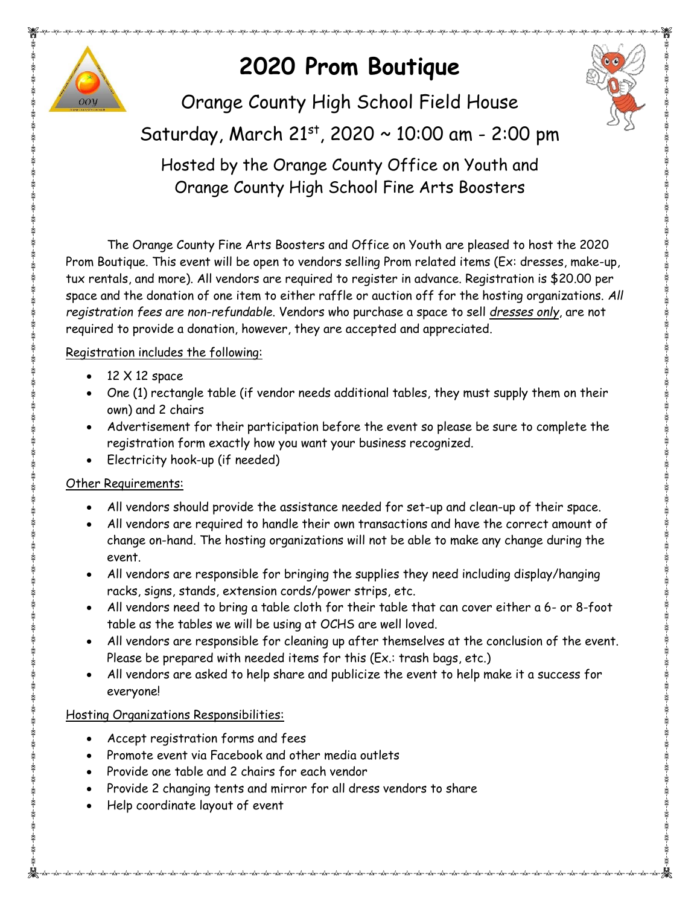

# **2020 Prom Boutique**



Orange County High School Field House

## Saturday, March 21st, 2020 ~ 10:00 am - 2:00 pm

Hosted by the Orange County Office on Youth and Orange County High School Fine Arts Boosters

The Orange County Fine Arts Boosters and Office on Youth are pleased to host the 2020 Prom Boutique. This event will be open to vendors selling Prom related items (Ex: dresses, make-up, tux rentals, and more). All vendors are required to register in advance. Registration is \$20.00 per space and the donation of one item to either raffle or auction off for the hosting organizations. *All registration fees are non-refundable*. Vendors who purchase a space to sell *dresses only*, are not required to provide a donation, however, they are accepted and appreciated.

#### Registration includes the following:

- $\bullet$  12  $\times$  12 space
- One (1) rectangle table (if vendor needs additional tables, they must supply them on their own) and 2 chairs
- Advertisement for their participation before the event so please be sure to complete the registration form exactly how you want your business recognized.
- Electricity hook-up (if needed)

#### Other Requirements:

- All vendors should provide the assistance needed for set-up and clean-up of their space.
- All vendors are required to handle their own transactions and have the correct amount of change on-hand. The hosting organizations will not be able to make any change during the event.
- All vendors are responsible for bringing the supplies they need including display/hanging racks, signs, stands, extension cords/power strips, etc.
- All vendors need to bring a table cloth for their table that can cover either a 6- or 8-foot table as the tables we will be using at OCHS are well loved.
- All vendors are responsible for cleaning up after themselves at the conclusion of the event. Please be prepared with needed items for this (Ex.: trash bags, etc.)
- All vendors are asked to help share and publicize the event to help make it a success for everyone!

#### Hosting Organizations Responsibilities:

- Accept registration forms and fees
- Promote event via Facebook and other media outlets
- Provide one table and 2 chairs for each vendor
- Provide 2 changing tents and mirror for all dress vendors to share
- Help coordinate layout of event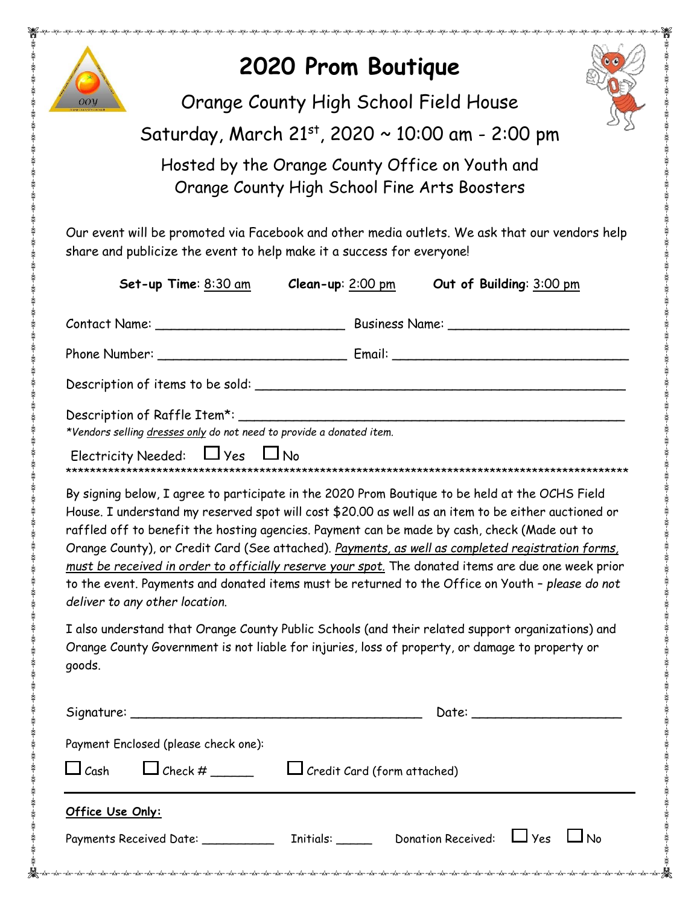

# **2020 Prom Boutique**



Orange County High School Field House

### Saturday, March 21st, 2020 ~ 10:00 am - 2:00 pm

Hosted by the Orange County Office on Youth and Orange County High School Fine Arts Boosters

Our event will be promoted via Facebook and other media outlets. We ask that our vendors help share and publicize the event to help make it a success for everyone!

| Set-up Time: 8:30 am<br>Clean-up: $2:00$ pm                                                                                                                                                                                                                                                                                                                                                                                                                                                                                                                                                                                                              | Out of Building: 3:00 pm           |  |
|----------------------------------------------------------------------------------------------------------------------------------------------------------------------------------------------------------------------------------------------------------------------------------------------------------------------------------------------------------------------------------------------------------------------------------------------------------------------------------------------------------------------------------------------------------------------------------------------------------------------------------------------------------|------------------------------------|--|
|                                                                                                                                                                                                                                                                                                                                                                                                                                                                                                                                                                                                                                                          |                                    |  |
|                                                                                                                                                                                                                                                                                                                                                                                                                                                                                                                                                                                                                                                          |                                    |  |
|                                                                                                                                                                                                                                                                                                                                                                                                                                                                                                                                                                                                                                                          |                                    |  |
| *Vendors selling dresses only do not need to provide a donated item.<br>Electricity Needed: $\Box$ Yes $\Box$ No                                                                                                                                                                                                                                                                                                                                                                                                                                                                                                                                         |                                    |  |
| By signing below, I agree to participate in the 2020 Prom Boutique to be held at the OCHS Field<br>House. I understand my reserved spot will cost \$20.00 as well as an item to be either auctioned or<br>raffled off to benefit the hosting agencies. Payment can be made by cash, check (Made out to<br>Orange County), or Credit Card (See attached). Payments, as well as completed registration forms,<br>must be received in order to officially reserve your spot. The donated items are due one week prior<br>to the event. Payments and donated items must be returned to the Office on Youth - please do not<br>deliver to any other location. |                                    |  |
| I also understand that Orange County Public Schools (and their related support organizations) and<br>Orange County Government is not liable for injuries, loss of property, or damage to property or<br>goods.                                                                                                                                                                                                                                                                                                                                                                                                                                           |                                    |  |
|                                                                                                                                                                                                                                                                                                                                                                                                                                                                                                                                                                                                                                                          |                                    |  |
| Payment Enclosed (please check one):                                                                                                                                                                                                                                                                                                                                                                                                                                                                                                                                                                                                                     |                                    |  |
| $\Box$ Cash $\Box$ Check # ______                                                                                                                                                                                                                                                                                                                                                                                                                                                                                                                                                                                                                        | $\Box$ Credit Card (form attached) |  |
| Office Use Only:                                                                                                                                                                                                                                                                                                                                                                                                                                                                                                                                                                                                                                         |                                    |  |
| Payments Received Date: ______________ Initials: _______ Donation Received: $\Box$ Yes $\Box$ No                                                                                                                                                                                                                                                                                                                                                                                                                                                                                                                                                         |                                    |  |